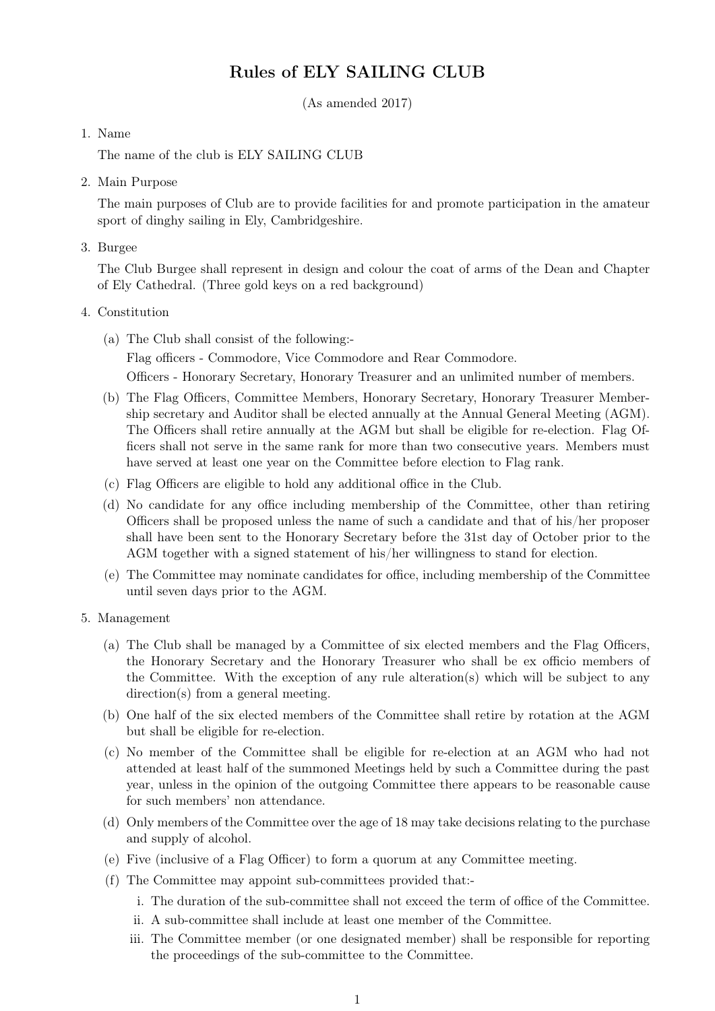# Rules of ELY SAILING CLUB

(As amended 2017)

#### 1. Name

The name of the club is ELY SAILING CLUB

2. Main Purpose

The main purposes of Club are to provide facilities for and promote participation in the amateur sport of dinghy sailing in Ely, Cambridgeshire.

3. Burgee

The Club Burgee shall represent in design and colour the coat of arms of the Dean and Chapter of Ely Cathedral. (Three gold keys on a red background)

#### 4. Constitution

- (a) The Club shall consist of the following:- Flag officers - Commodore, Vice Commodore and Rear Commodore. Officers - Honorary Secretary, Honorary Treasurer and an unlimited number of members.
- (b) The Flag Officers, Committee Members, Honorary Secretary, Honorary Treasurer Membership secretary and Auditor shall be elected annually at the Annual General Meeting (AGM). The Officers shall retire annually at the AGM but shall be eligible for re-election. Flag Officers shall not serve in the same rank for more than two consecutive years. Members must have served at least one year on the Committee before election to Flag rank.
- (c) Flag Officers are eligible to hold any additional office in the Club.
- (d) No candidate for any office including membership of the Committee, other than retiring Officers shall be proposed unless the name of such a candidate and that of his/her proposer shall have been sent to the Honorary Secretary before the 31st day of October prior to the AGM together with a signed statement of his/her willingness to stand for election.
- (e) The Committee may nominate candidates for office, including membership of the Committee until seven days prior to the AGM.
- 5. Management
	- (a) The Club shall be managed by a Committee of six elected members and the Flag Officers, the Honorary Secretary and the Honorary Treasurer who shall be ex officio members of the Committee. With the exception of any rule alteration(s) which will be subject to any direction(s) from a general meeting.
	- (b) One half of the six elected members of the Committee shall retire by rotation at the AGM but shall be eligible for re-election.
	- (c) No member of the Committee shall be eligible for re-election at an AGM who had not attended at least half of the summoned Meetings held by such a Committee during the past year, unless in the opinion of the outgoing Committee there appears to be reasonable cause for such members' non attendance.
	- (d) Only members of the Committee over the age of 18 may take decisions relating to the purchase and supply of alcohol.
	- (e) Five (inclusive of a Flag Officer) to form a quorum at any Committee meeting.
	- (f) The Committee may appoint sub-committees provided that:
		- i. The duration of the sub-committee shall not exceed the term of office of the Committee.
		- ii. A sub-committee shall include at least one member of the Committee.
		- iii. The Committee member (or one designated member) shall be responsible for reporting the proceedings of the sub-committee to the Committee.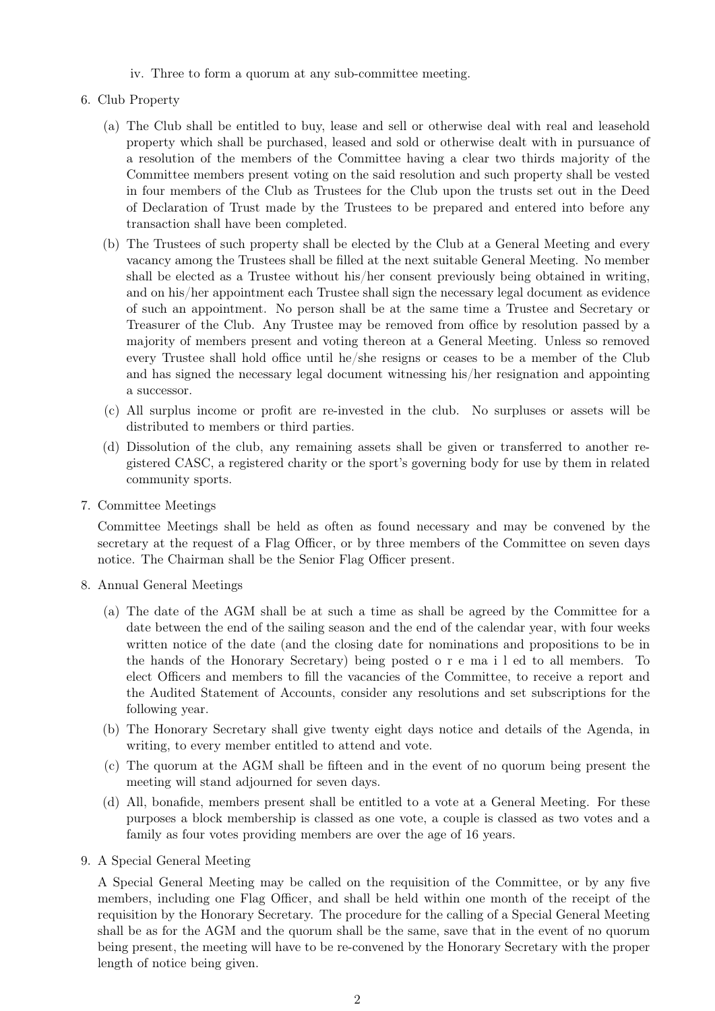- iv. Three to form a quorum at any sub-committee meeting.
- 6. Club Property
	- (a) The Club shall be entitled to buy, lease and sell or otherwise deal with real and leasehold property which shall be purchased, leased and sold or otherwise dealt with in pursuance of a resolution of the members of the Committee having a clear two thirds majority of the Committee members present voting on the said resolution and such property shall be vested in four members of the Club as Trustees for the Club upon the trusts set out in the Deed of Declaration of Trust made by the Trustees to be prepared and entered into before any transaction shall have been completed.
	- (b) The Trustees of such property shall be elected by the Club at a General Meeting and every vacancy among the Trustees shall be filled at the next suitable General Meeting. No member shall be elected as a Trustee without his/her consent previously being obtained in writing, and on his/her appointment each Trustee shall sign the necessary legal document as evidence of such an appointment. No person shall be at the same time a Trustee and Secretary or Treasurer of the Club. Any Trustee may be removed from office by resolution passed by a majority of members present and voting thereon at a General Meeting. Unless so removed every Trustee shall hold office until he/she resigns or ceases to be a member of the Club and has signed the necessary legal document witnessing his/her resignation and appointing a successor.
	- (c) All surplus income or profit are re-invested in the club. No surpluses or assets will be distributed to members or third parties.
	- (d) Dissolution of the club, any remaining assets shall be given or transferred to another registered CASC, a registered charity or the sport's governing body for use by them in related community sports.
- 7. Committee Meetings

Committee Meetings shall be held as often as found necessary and may be convened by the secretary at the request of a Flag Officer, or by three members of the Committee on seven days notice. The Chairman shall be the Senior Flag Officer present.

- 8. Annual General Meetings
	- (a) The date of the AGM shall be at such a time as shall be agreed by the Committee for a date between the end of the sailing season and the end of the calendar year, with four weeks written notice of the date (and the closing date for nominations and propositions to be in the hands of the Honorary Secretary) being posted o r e ma i l ed to all members. To elect Officers and members to fill the vacancies of the Committee, to receive a report and the Audited Statement of Accounts, consider any resolutions and set subscriptions for the following year.
	- (b) The Honorary Secretary shall give twenty eight days notice and details of the Agenda, in writing, to every member entitled to attend and vote.
	- (c) The quorum at the AGM shall be fifteen and in the event of no quorum being present the meeting will stand adjourned for seven days.
	- (d) All, bonafide, members present shall be entitled to a vote at a General Meeting. For these purposes a block membership is classed as one vote, a couple is classed as two votes and a family as four votes providing members are over the age of 16 years.
- 9. A Special General Meeting

A Special General Meeting may be called on the requisition of the Committee, or by any five members, including one Flag Officer, and shall be held within one month of the receipt of the requisition by the Honorary Secretary. The procedure for the calling of a Special General Meeting shall be as for the AGM and the quorum shall be the same, save that in the event of no quorum being present, the meeting will have to be re-convened by the Honorary Secretary with the proper length of notice being given.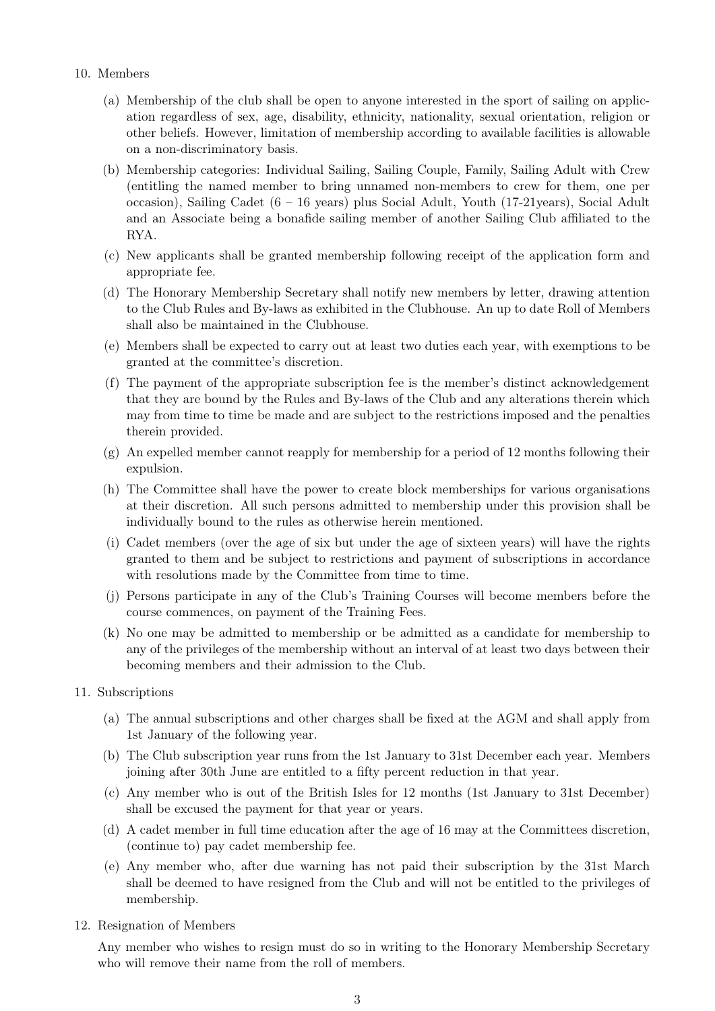- 10. Members
	- (a) Membership of the club shall be open to anyone interested in the sport of sailing on application regardless of sex, age, disability, ethnicity, nationality, sexual orientation, religion or other beliefs. However, limitation of membership according to available facilities is allowable on a non-discriminatory basis.
	- (b) Membership categories: Individual Sailing, Sailing Couple, Family, Sailing Adult with Crew (entitling the named member to bring unnamed non-members to crew for them, one per occasion), Sailing Cadet (6 – 16 years) plus Social Adult, Youth (17-21years), Social Adult and an Associate being a bonafide sailing member of another Sailing Club affiliated to the RYA.
	- (c) New applicants shall be granted membership following receipt of the application form and appropriate fee.
	- (d) The Honorary Membership Secretary shall notify new members by letter, drawing attention to the Club Rules and By-laws as exhibited in the Clubhouse. An up to date Roll of Members shall also be maintained in the Clubhouse.
	- (e) Members shall be expected to carry out at least two duties each year, with exemptions to be granted at the committee's discretion.
	- (f) The payment of the appropriate subscription fee is the member's distinct acknowledgement that they are bound by the Rules and By-laws of the Club and any alterations therein which may from time to time be made and are subject to the restrictions imposed and the penalties therein provided.
	- (g) An expelled member cannot reapply for membership for a period of 12 months following their expulsion.
	- (h) The Committee shall have the power to create block memberships for various organisations at their discretion. All such persons admitted to membership under this provision shall be individually bound to the rules as otherwise herein mentioned.
	- (i) Cadet members (over the age of six but under the age of sixteen years) will have the rights granted to them and be subject to restrictions and payment of subscriptions in accordance with resolutions made by the Committee from time to time.
	- (j) Persons participate in any of the Club's Training Courses will become members before the course commences, on payment of the Training Fees.
	- (k) No one may be admitted to membership or be admitted as a candidate for membership to any of the privileges of the membership without an interval of at least two days between their becoming members and their admission to the Club.
- 11. Subscriptions
	- (a) The annual subscriptions and other charges shall be fixed at the AGM and shall apply from 1st January of the following year.
	- (b) The Club subscription year runs from the 1st January to 31st December each year. Members joining after 30th June are entitled to a fifty percent reduction in that year.
	- (c) Any member who is out of the British Isles for 12 months (1st January to 31st December) shall be excused the payment for that year or years.
	- (d) A cadet member in full time education after the age of 16 may at the Committees discretion, (continue to) pay cadet membership fee.
	- (e) Any member who, after due warning has not paid their subscription by the 31st March shall be deemed to have resigned from the Club and will not be entitled to the privileges of membership.
- 12. Resignation of Members

Any member who wishes to resign must do so in writing to the Honorary Membership Secretary who will remove their name from the roll of members.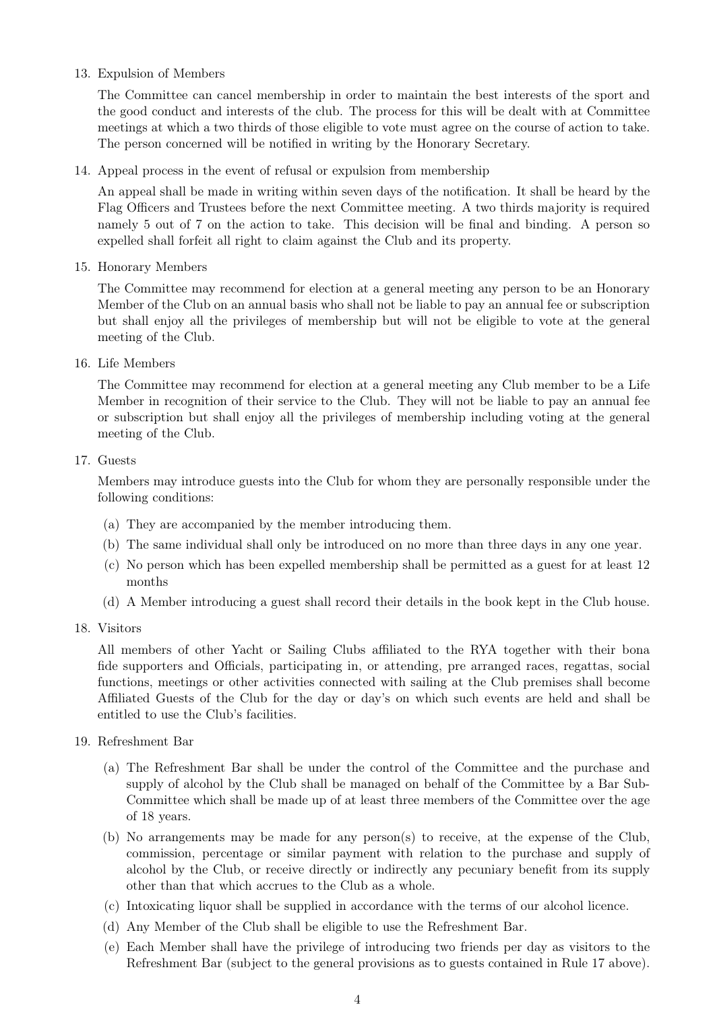## 13. Expulsion of Members

The Committee can cancel membership in order to maintain the best interests of the sport and the good conduct and interests of the club. The process for this will be dealt with at Committee meetings at which a two thirds of those eligible to vote must agree on the course of action to take. The person concerned will be notified in writing by the Honorary Secretary.

14. Appeal process in the event of refusal or expulsion from membership

An appeal shall be made in writing within seven days of the notification. It shall be heard by the Flag Officers and Trustees before the next Committee meeting. A two thirds majority is required namely 5 out of 7 on the action to take. This decision will be final and binding. A person so expelled shall forfeit all right to claim against the Club and its property.

15. Honorary Members

The Committee may recommend for election at a general meeting any person to be an Honorary Member of the Club on an annual basis who shall not be liable to pay an annual fee or subscription but shall enjoy all the privileges of membership but will not be eligible to vote at the general meeting of the Club.

16. Life Members

The Committee may recommend for election at a general meeting any Club member to be a Life Member in recognition of their service to the Club. They will not be liable to pay an annual fee or subscription but shall enjoy all the privileges of membership including voting at the general meeting of the Club.

## 17. Guests

Members may introduce guests into the Club for whom they are personally responsible under the following conditions:

- (a) They are accompanied by the member introducing them.
- (b) The same individual shall only be introduced on no more than three days in any one year.
- (c) No person which has been expelled membership shall be permitted as a guest for at least 12 months
- (d) A Member introducing a guest shall record their details in the book kept in the Club house.
- 18. Visitors

All members of other Yacht or Sailing Clubs affiliated to the RYA together with their bona fide supporters and Officials, participating in, or attending, pre arranged races, regattas, social functions, meetings or other activities connected with sailing at the Club premises shall become Affiliated Guests of the Club for the day or day's on which such events are held and shall be entitled to use the Club's facilities.

- 19. Refreshment Bar
	- (a) The Refreshment Bar shall be under the control of the Committee and the purchase and supply of alcohol by the Club shall be managed on behalf of the Committee by a Bar Sub-Committee which shall be made up of at least three members of the Committee over the age of 18 years.
	- (b) No arrangements may be made for any person(s) to receive, at the expense of the Club, commission, percentage or similar payment with relation to the purchase and supply of alcohol by the Club, or receive directly or indirectly any pecuniary benefit from its supply other than that which accrues to the Club as a whole.
	- (c) Intoxicating liquor shall be supplied in accordance with the terms of our alcohol licence.
	- (d) Any Member of the Club shall be eligible to use the Refreshment Bar.
	- (e) Each Member shall have the privilege of introducing two friends per day as visitors to the Refreshment Bar (subject to the general provisions as to guests contained in Rule 17 above).